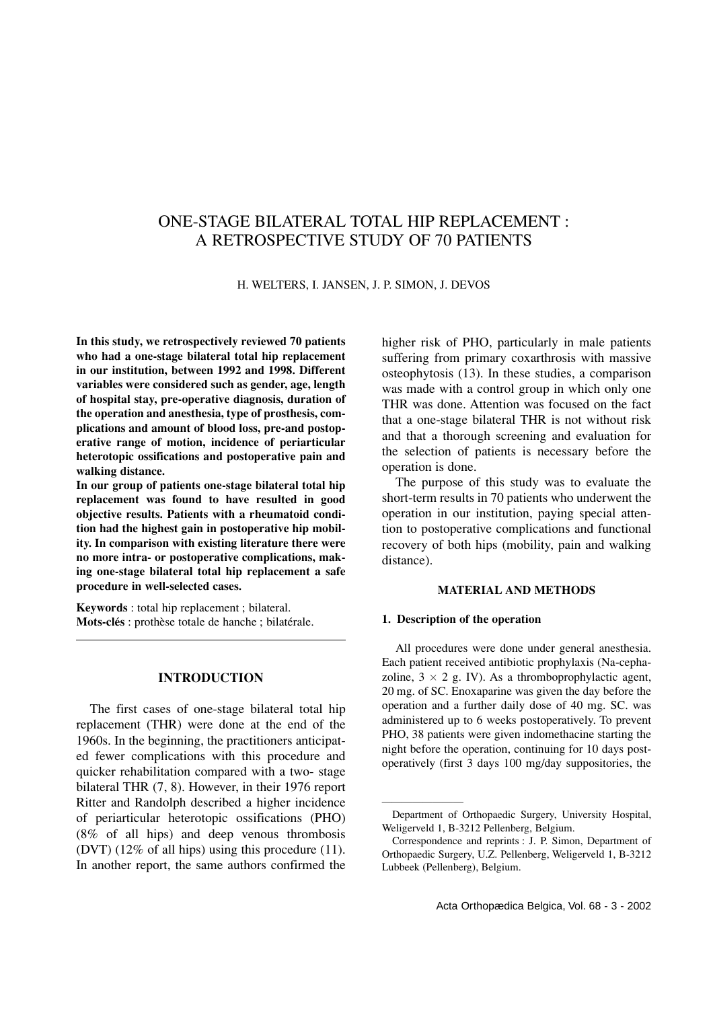# ONE-STAGE BILATERAL TOTAL HIP REPLACEMENT : A RETROSPECTIVE STUDY OF 70 PATIENTS

H. WELTERS, I. JANSEN, J. P. SIMON, J. DEVOS

**In this study, we retrospectively reviewed 70 patients who had a one-stage bilateral total hip replacement in our institution, between 1992 and 1998. Different variables were considered such as gender, age, length of hospital stay, pre-operative diagnosis, duration of the operation and anesthesia, type of prosthesis, complications and amount of blood loss, pre-and postoperative range of motion, incidence of periarticular heterotopic ossifications and postoperative pain and walking distance.**

**In our group of patients one-stage bilateral total hip replacement was found to have resulted in good objective results. Patients with a rheumatoid condition had the highest gain in postoperative hip mobility. In comparison with existing literature there were no more intra- or postoperative complications, making one-stage bilateral total hip replacement a safe procedure in well-selected cases.**

**Keywords** : total hip replacement ; bilateral. **Mots-clés** : prothèse totale de hanche ; bilatérale.

## **INTRODUCTION**

The first cases of one-stage bilateral total hip replacement (THR) were done at the end of the 1960s. In the beginning, the practitioners anticipated fewer complications with this procedure and quicker rehabilitation compared with a two- stage bilateral THR (7, 8). However, in their 1976 report Ritter and Randolph described a higher incidence of periarticular heterotopic ossifications (PHO) (8% of all hips) and deep venous thrombosis (DVT) (12% of all hips) using this procedure (11). In another report, the same authors confirmed the higher risk of PHO, particularly in male patients suffering from primary coxarthrosis with massive osteophytosis (13). In these studies, a comparison was made with a control group in which only one THR was done. Attention was focused on the fact that a one-stage bilateral THR is not without risk and that a thorough screening and evaluation for the selection of patients is necessary before the operation is done.

The purpose of this study was to evaluate the short-term results in 70 patients who underwent the operation in our institution, paying special attention to postoperative complications and functional recovery of both hips (mobility, pain and walking distance).

### **MATERIAL AND METHODS**

#### **1. Description of the operation**

————————

All procedures were done under general anesthesia. Each patient received antibiotic prophylaxis (Na-cephazoline,  $3 \times 2$  g. IV). As a thromboprophylactic agent, 20 mg. of SC. Enoxaparine was given the day before the operation and a further daily dose of 40 mg. SC. was administered up to 6 weeks postoperatively. To prevent PHO, 38 patients were given indomethacine starting the night before the operation, continuing for 10 days postoperatively (first 3 days 100 mg/day suppositories, the

Department of Orthopaedic Surgery, University Hospital, Weligerveld 1, B-3212 Pellenberg, Belgium.

Correspondence and reprints : J. P. Simon, Department of Orthopaedic Surgery, U.Z. Pellenberg, Weligerveld 1, B-3212 Lubbeek (Pellenberg), Belgium.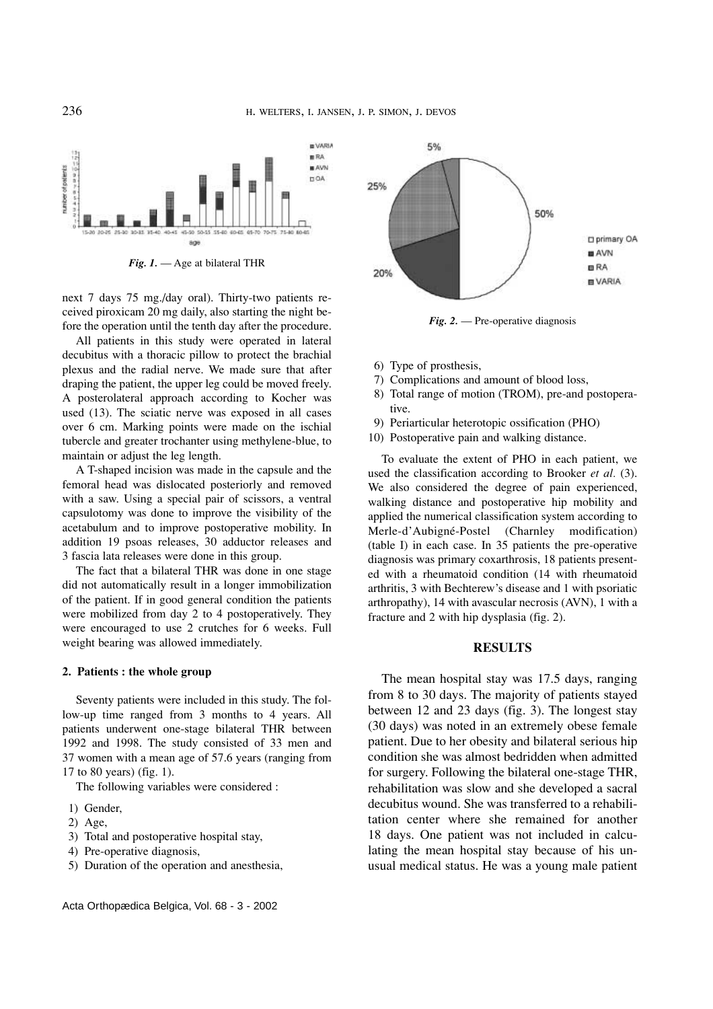

*Fig. 1.* — Age at bilateral THR

next 7 days 75 mg./day oral). Thirty-two patients received piroxicam 20 mg daily, also starting the night before the operation until the tenth day after the procedure.

All patients in this study were operated in lateral decubitus with a thoracic pillow to protect the brachial plexus and the radial nerve. We made sure that after draping the patient, the upper leg could be moved freely. A posterolateral approach according to Kocher was used (13). The sciatic nerve was exposed in all cases over 6 cm. Marking points were made on the ischial tubercle and greater trochanter using methylene-blue, to maintain or adjust the leg length.

A T-shaped incision was made in the capsule and the femoral head was dislocated posteriorly and removed with a saw. Using a special pair of scissors, a ventral capsulotomy was done to improve the visibility of the acetabulum and to improve postoperative mobility. In addition 19 psoas releases, 30 adductor releases and 3 fascia lata releases were done in this group.

The fact that a bilateral THR was done in one stage did not automatically result in a longer immobilization of the patient. If in good general condition the patients were mobilized from day 2 to 4 postoperatively. They were encouraged to use 2 crutches for 6 weeks. Full weight bearing was allowed immediately.

#### **2. Patients : the whole group**

Seventy patients were included in this study. The follow-up time ranged from 3 months to 4 years. All patients underwent one-stage bilateral THR between 1992 and 1998. The study consisted of 33 men and 37 women with a mean age of 57.6 years (ranging from 17 to 80 years) (fig. 1).

The following variables were considered :

- 1) Gender,
- 2) Age,
- 3) Total and postoperative hospital stay,
- 4) Pre-operative diagnosis,
- 5) Duration of the operation and anesthesia,



*Fig. 2.* — Pre-operative diagnosis

- 6) Type of prosthesis,
- 7) Complications and amount of blood loss,
- 8) Total range of motion (TROM), pre-and postoperative.
- 9) Periarticular heterotopic ossification (PHO)
- 10) Postoperative pain and walking distance.

To evaluate the extent of PHO in each patient, we used the classification according to Brooker *et al.* (3). We also considered the degree of pain experienced, walking distance and postoperative hip mobility and applied the numerical classification system according to Merle-d'Aubigné-Postel (Charnley modification) (table I) in each case. In 35 patients the pre-operative diagnosis was primary coxarthrosis, 18 patients presented with a rheumatoid condition (14 with rheumatoid arthritis, 3 with Bechterew's disease and 1 with psoriatic arthropathy), 14 with avascular necrosis (AVN), 1 with a fracture and 2 with hip dysplasia (fig. 2).

#### **RESULTS**

The mean hospital stay was 17.5 days, ranging from 8 to 30 days. The majority of patients stayed between 12 and 23 days (fig. 3). The longest stay (30 days) was noted in an extremely obese female patient. Due to her obesity and bilateral serious hip condition she was almost bedridden when admitted for surgery. Following the bilateral one-stage THR, rehabilitation was slow and she developed a sacral decubitus wound. She was transferred to a rehabilitation center where she remained for another 18 days. One patient was not included in calculating the mean hospital stay because of his unusual medical status. He was a young male patient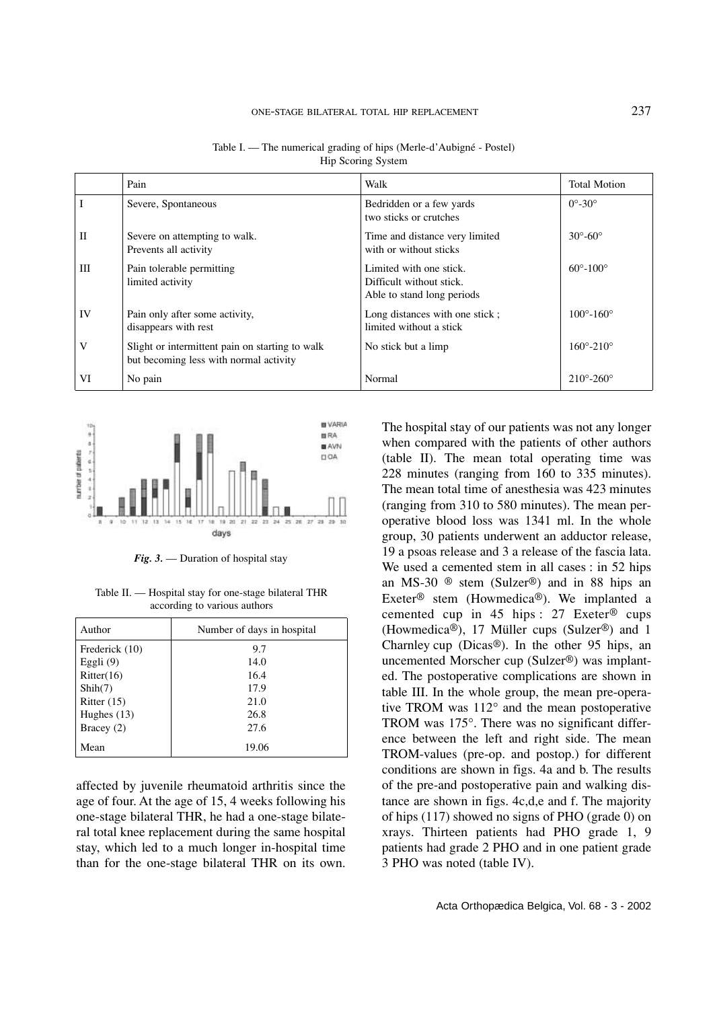### ONE-STAGE BILATERAL TOTAL HIP REPLACEMENT 237

|              | Pain                                                                                      | Walk                                                                              | <b>Total Motion</b>         |
|--------------|-------------------------------------------------------------------------------------------|-----------------------------------------------------------------------------------|-----------------------------|
|              | Severe, Spontaneous                                                                       | Bedridden or a few yards<br>two sticks or crutches                                | $0^\circ - 30^\circ$        |
| $\mathbf{I}$ | Severe on attempting to walk.<br>Prevents all activity                                    | Time and distance very limited<br>with or without sticks                          | $30^\circ - 60^\circ$       |
| Ш            | Pain tolerable permitting<br>limited activity                                             | Limited with one stick.<br>Difficult without stick.<br>Able to stand long periods | $60^{\circ} - 100^{\circ}$  |
| IV           | Pain only after some activity,<br>disappears with rest                                    | Long distances with one stick;<br>limited without a stick                         | $100^{\circ} - 160^{\circ}$ |
| V            | Slight or intermittent pain on starting to walk<br>but becoming less with normal activity | No stick but a limp                                                               | $160^{\circ} - 210^{\circ}$ |
| VI           | No pain                                                                                   | Normal                                                                            | $210^{\circ} - 260^{\circ}$ |

Table I. — The numerical grading of hips (Merle-d'Aubigné - Postel) Hip Scoring System



*Fig. 3.* — Duration of hospital stay

Table II. — Hospital stay for one-stage bilateral THR according to various authors

| Author         | Number of days in hospital |  |  |  |
|----------------|----------------------------|--|--|--|
| Frederick (10) | 9.7                        |  |  |  |
| Eggli $(9)$    | 14.0                       |  |  |  |
| Ritter(16)     | 16.4                       |  |  |  |
| Shih(7)        | 17.9                       |  |  |  |
| Ritter $(15)$  | 21.0                       |  |  |  |
| Hughes $(13)$  | 26.8                       |  |  |  |
| Bracey $(2)$   | 27.6                       |  |  |  |
| Mean           | 19.06                      |  |  |  |

affected by juvenile rheumatoid arthritis since the age of four. At the age of 15, 4 weeks following his one-stage bilateral THR, he had a one-stage bilateral total knee replacement during the same hospital stay, which led to a much longer in-hospital time than for the one-stage bilateral THR on its own.

The hospital stay of our patients was not any longer when compared with the patients of other authors (table II). The mean total operating time was 228 minutes (ranging from 160 to 335 minutes). The mean total time of anesthesia was 423 minutes (ranging from 310 to 580 minutes). The mean peroperative blood loss was 1341 ml. In the whole group, 30 patients underwent an adductor release, 19 a psoas release and 3 a release of the fascia lata. We used a cemented stem in all cases : in 52 hips an MS-30 ® stem (Sulzer®) and in 88 hips an Exeter® stem (Howmedica®). We implanted a cemented cup in 45 hips : 27 Exeter® cups (Howmedica®), 17 Müller cups (Sulzer®) and 1 Charnley cup (Dicas®). In the other 95 hips, an uncemented Morscher cup (Sulzer®) was implanted. The postoperative complications are shown in table III. In the whole group, the mean pre-operative TROM was 112° and the mean postoperative TROM was 175°. There was no significant difference between the left and right side. The mean TROM-values (pre-op. and postop.) for different conditions are shown in figs. 4a and b. The results of the pre-and postoperative pain and walking distance are shown in figs. 4c,d,e and f. The majority of hips (117) showed no signs of PHO (grade 0) on xrays. Thirteen patients had PHO grade 1, 9 patients had grade 2 PHO and in one patient grade 3 PHO was noted (table IV).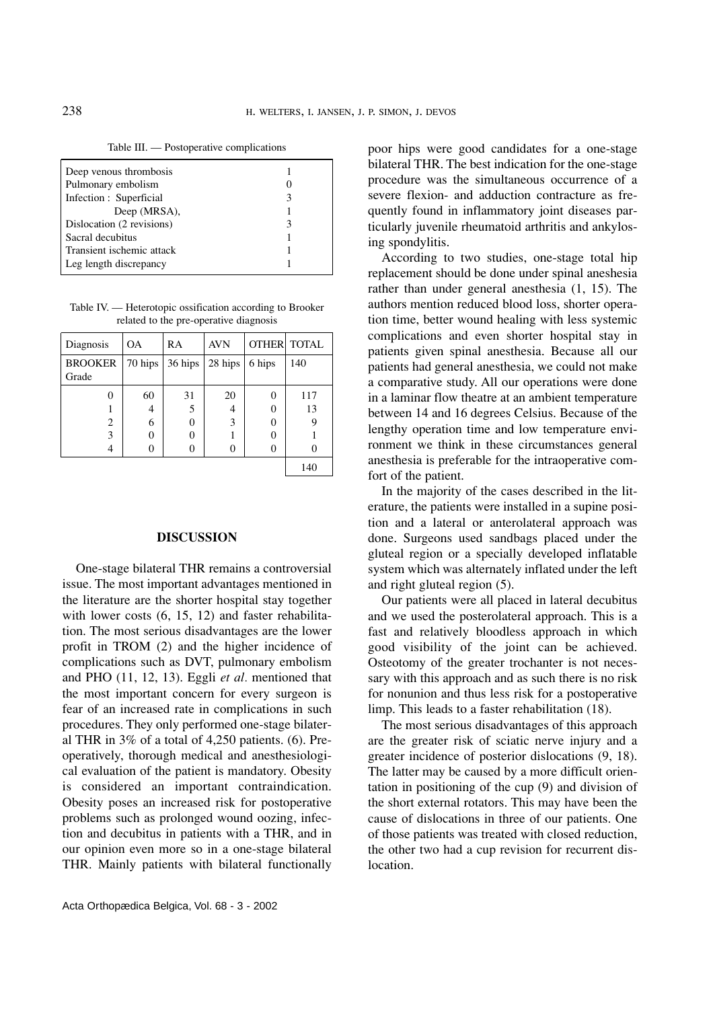Table III. — Postoperative complications

| Deep venous thrombosis    |   |
|---------------------------|---|
| Pulmonary embolism        |   |
| Infection : Superficial   | 3 |
| Deep (MRSA),              |   |
| Dislocation (2 revisions) | З |
| Sacral decubitus          |   |
| Transient ischemic attack |   |
| Leg length discrepancy    |   |
|                           |   |

Table IV. — Heterotopic ossification according to Brooker related to the pre-operative diagnosis

| Diagnosis      | <b>OA</b> | RA        | <b>AVN</b> |        | <b>OTHER TOTAL</b> |
|----------------|-----------|-----------|------------|--------|--------------------|
| <b>BROOKER</b> | 70 hips   | $36$ hips | 28 hips    | 6 hips | 140                |
| Grade          |           |           |            |        |                    |
|                | 60        | 31        | 20         | 0      | 117                |
|                | 4         | 5         | 4          | 0      | 13                 |
| 2              | 6         | 0         | 3          | 0      |                    |
| 3              |           | 0         |            |        |                    |
|                |           |           |            |        |                    |
|                |           |           |            |        | 140                |

#### **DISCUSSION**

One-stage bilateral THR remains a controversial issue. The most important advantages mentioned in the literature are the shorter hospital stay together with lower costs  $(6, 15, 12)$  and faster rehabilitation. The most serious disadvantages are the lower profit in TROM (2) and the higher incidence of complications such as DVT, pulmonary embolism and PHO (11, 12, 13). Eggli *et al.* mentioned that the most important concern for every surgeon is fear of an increased rate in complications in such procedures. They only performed one-stage bilateral THR in 3% of a total of 4,250 patients. (6). Preoperatively, thorough medical and anesthesiological evaluation of the patient is mandatory. Obesity is considered an important contraindication. Obesity poses an increased risk for postoperative problems such as prolonged wound oozing, infection and decubitus in patients with a THR, and in our opinion even more so in a one-stage bilateral THR. Mainly patients with bilateral functionally

poor hips were good candidates for a one-stage bilateral THR. The best indication for the one-stage procedure was the simultaneous occurrence of a severe flexion- and adduction contracture as frequently found in inflammatory joint diseases particularly juvenile rheumatoid arthritis and ankylosing spondylitis.

According to two studies, one-stage total hip replacement should be done under spinal aneshesia rather than under general anesthesia (1, 15). The authors mention reduced blood loss, shorter operation time, better wound healing with less systemic complications and even shorter hospital stay in patients given spinal anesthesia. Because all our patients had general anesthesia, we could not make a comparative study. All our operations were done in a laminar flow theatre at an ambient temperature between 14 and 16 degrees Celsius. Because of the lengthy operation time and low temperature environment we think in these circumstances general anesthesia is preferable for the intraoperative comfort of the patient.

In the majority of the cases described in the literature, the patients were installed in a supine position and a lateral or anterolateral approach was done. Surgeons used sandbags placed under the gluteal region or a specially developed inflatable system which was alternately inflated under the left and right gluteal region (5).

Our patients were all placed in lateral decubitus and we used the posterolateral approach. This is a fast and relatively bloodless approach in which good visibility of the joint can be achieved. Osteotomy of the greater trochanter is not necessary with this approach and as such there is no risk for nonunion and thus less risk for a postoperative limp. This leads to a faster rehabilitation (18).

The most serious disadvantages of this approach are the greater risk of sciatic nerve injury and a greater incidence of posterior dislocations (9, 18). The latter may be caused by a more difficult orientation in positioning of the cup (9) and division of the short external rotators. This may have been the cause of dislocations in three of our patients. One of those patients was treated with closed reduction, the other two had a cup revision for recurrent dislocation.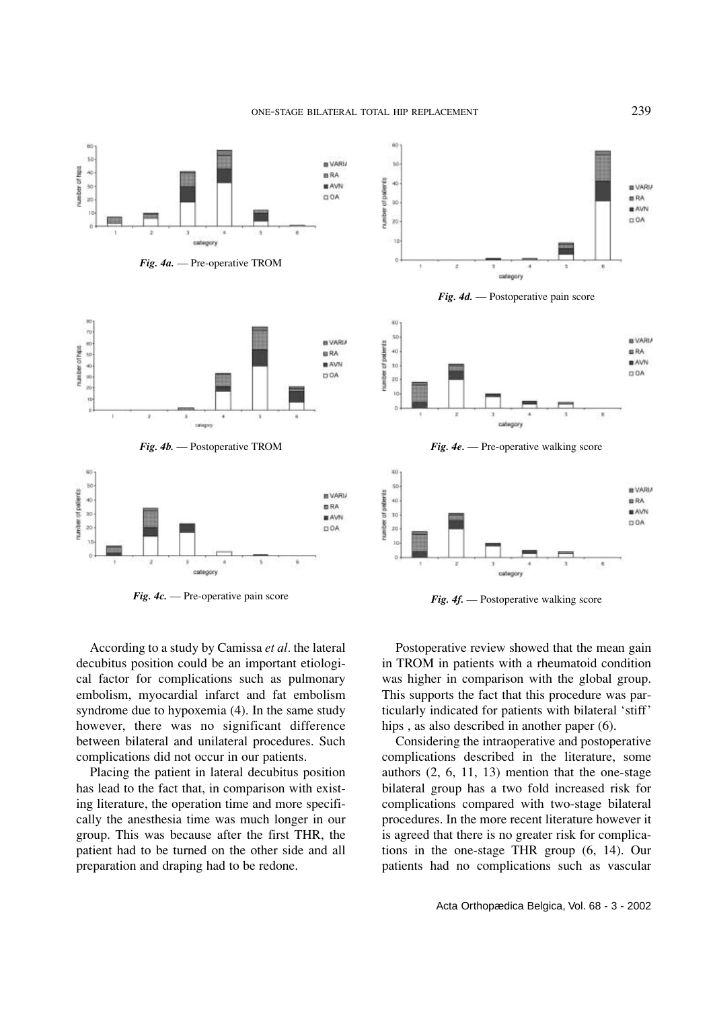ONE-STAGE BILATERAL TOTAL HIP REPLACEMENT 239



*Fig. 4c.* — Pre-operative pain score *Fig. 4f.* — Postoperative walking score



According to a study by Camissa *et al.* the lateral decubitus position could be an important etiological factor for complications such as pulmonary embolism, myocardial infarct and fat embolism syndrome due to hypoxemia (4). In the same study however, there was no significant difference between bilateral and unilateral procedures. Such complications did not occur in our patients.

Placing the patient in lateral decubitus position has lead to the fact that, in comparison with existing literature, the operation time and more specifically the anesthesia time was much longer in our group. This was because after the first THR, the patient had to be turned on the other side and all preparation and draping had to be redone.

Postoperative review showed that the mean gain in TROM in patients with a rheumatoid condition was higher in comparison with the global group. This supports the fact that this procedure was particularly indicated for patients with bilateral 'stiff' hips, as also described in another paper (6).

Considering the intraoperative and postoperative complications described in the literature, some authors (2, 6, 11, 13) mention that the one-stage bilateral group has a two fold increased risk for complications compared with two-stage bilateral procedures. In the more recent literature however it is agreed that there is no greater risk for complications in the one-stage THR group (6, 14). Our patients had no complications such as vascular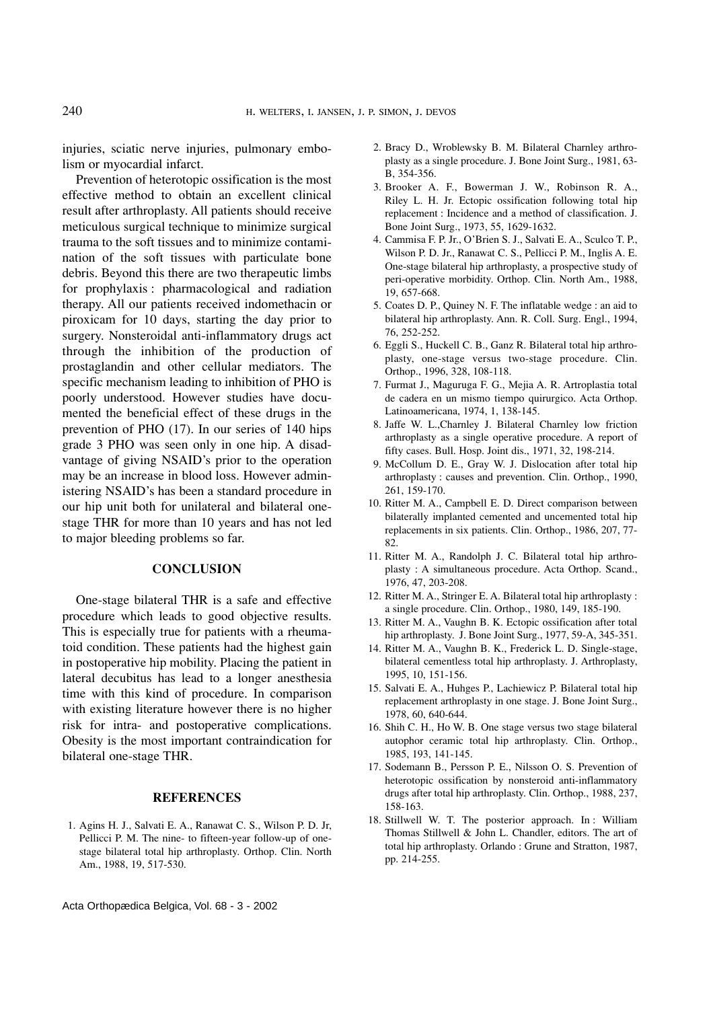injuries, sciatic nerve injuries, pulmonary embolism or myocardial infarct.

Prevention of heterotopic ossification is the most effective method to obtain an excellent clinical result after arthroplasty. All patients should receive meticulous surgical technique to minimize surgical trauma to the soft tissues and to minimize contamination of the soft tissues with particulate bone debris. Beyond this there are two therapeutic limbs for prophylaxis : pharmacological and radiation therapy. All our patients received indomethacin or piroxicam for 10 days, starting the day prior to surgery. Nonsteroidal anti-inflammatory drugs act through the inhibition of the production of prostaglandin and other cellular mediators. The specific mechanism leading to inhibition of PHO is poorly understood. However studies have documented the beneficial effect of these drugs in the prevention of PHO (17). In our series of 140 hips grade 3 PHO was seen only in one hip. A disadvantage of giving NSAID's prior to the operation may be an increase in blood loss. However administering NSAID's has been a standard procedure in our hip unit both for unilateral and bilateral onestage THR for more than 10 years and has not led to major bleeding problems so far.

#### **CONCLUSION**

One-stage bilateral THR is a safe and effective procedure which leads to good objective results. This is especially true for patients with a rheumatoid condition. These patients had the highest gain in postoperative hip mobility. Placing the patient in lateral decubitus has lead to a longer anesthesia time with this kind of procedure. In comparison with existing literature however there is no higher risk for intra- and postoperative complications. Obesity is the most important contraindication for bilateral one-stage THR.

### **REFERENCES**

1. Agins H. J., Salvati E. A., Ranawat C. S., Wilson P. D. Jr, Pellicci P. M. The nine- to fifteen-year follow-up of onestage bilateral total hip arthroplasty. Orthop. Clin. North Am., 1988, 19, 517-530.

- 2. Bracy D., Wroblewsky B. M. Bilateral Charnley arthroplasty as a single procedure. J. Bone Joint Surg., 1981, 63- B, 354-356.
- 3. Brooker A. F., Bowerman J. W., Robinson R. A., Riley L. H. Jr. Ectopic ossification following total hip replacement : Incidence and a method of classification. J. Bone Joint Surg., 1973, 55, 1629-1632.
- 4. Cammisa F. P. Jr., O'Brien S. J., Salvati E. A., Sculco T. P., Wilson P. D. Jr., Ranawat C. S., Pellicci P. M., Inglis A. E. One-stage bilateral hip arthroplasty, a prospective study of peri-operative morbidity. Orthop. Clin. North Am., 1988, 19, 657-668.
- 5. Coates D. P., Quiney N. F. The inflatable wedge : an aid to bilateral hip arthroplasty. Ann. R. Coll. Surg. Engl., 1994, 76, 252-252.
- 6. Eggli S., Huckell C. B., Ganz R. Bilateral total hip arthroplasty, one-stage versus two-stage procedure. Clin. Orthop., 1996, 328, 108-118.
- 7. Furmat J., Maguruga F. G., Mejia A. R. Artroplastia total de cadera en un mismo tiempo quirurgico. Acta Orthop. Latinoamericana, 1974, 1, 138-145.
- 8. Jaffe W. L.,Charnley J. Bilateral Charnley low friction arthroplasty as a single operative procedure. A report of fifty cases. Bull. Hosp. Joint dis., 1971, 32, 198-214.
- 9. McCollum D. E., Gray W. J. Dislocation after total hip arthroplasty : causes and prevention. Clin. Orthop., 1990, 261, 159-170.
- 10. Ritter M. A., Campbell E. D. Direct comparison between bilaterally implanted cemented and uncemented total hip replacements in six patients. Clin. Orthop., 1986, 207, 77- 82.
- 11. Ritter M. A., Randolph J. C. Bilateral total hip arthroplasty : A simultaneous procedure. Acta Orthop. Scand., 1976, 47, 203-208.
- 12. Ritter M. A., Stringer E. A. Bilateral total hip arthroplasty : a single procedure. Clin. Orthop., 1980, 149, 185-190.
- 13. Ritter M. A., Vaughn B. K. Ectopic ossification after total hip arthroplasty. J. Bone Joint Surg., 1977, 59-A, 345-351.
- 14. Ritter M. A., Vaughn B. K., Frederick L. D. Single-stage, bilateral cementless total hip arthroplasty. J. Arthroplasty, 1995, 10, 151-156.
- 15. Salvati E. A., Huhges P., Lachiewicz P. Bilateral total hip replacement arthroplasty in one stage. J. Bone Joint Surg., 1978, 60, 640-644.
- 16. Shih C. H., Ho W. B. One stage versus two stage bilateral autophor ceramic total hip arthroplasty. Clin. Orthop., 1985, 193, 141-145.
- 17. Sodemann B., Persson P. E., Nilsson O. S. Prevention of heterotopic ossification by nonsteroid anti-inflammatory drugs after total hip arthroplasty. Clin. Orthop., 1988, 237, 158-163.
- 18. Stillwell W. T. The posterior approach. In : William Thomas Stillwell & John L. Chandler, editors. The art of total hip arthroplasty. Orlando : Grune and Stratton, 1987, pp. 214-255.

Acta Orthopædica Belgica, Vol. 68 - 3 - 2002